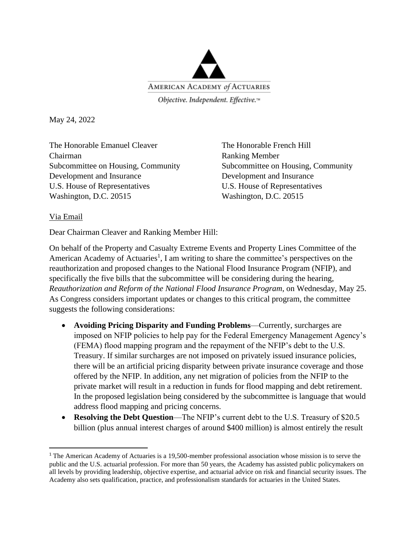

Objective. Independent. Effective.™

May 24, 2022

The Honorable Emanuel Cleaver The Honorable French Hill Chairman Ranking Member Development and Insurance Development and Insurance U.S. House of Representatives U.S. House of Representatives Washington, D.C. 20515 Washington, D.C. 20515

Subcommittee on Housing, Community Subcommittee on Housing, Community

## Via Email

Dear Chairman Cleaver and Ranking Member Hill:

On behalf of the Property and Casualty Extreme Events and Property Lines Committee of the American Academy of Actuaries<sup>1</sup>, I am writing to share the committee's perspectives on the reauthorization and proposed changes to the National Flood Insurance Program (NFIP), and specifically the five bills that the subcommittee will be considering during the hearing, *Reauthorization and Reform of the National Flood Insurance Program*, on Wednesday, May 25. As Congress considers important updates or changes to this critical program, the committee suggests the following considerations:

- **Avoiding Pricing Disparity and Funding Problems**—Currently, surcharges are imposed on NFIP policies to help pay for the Federal Emergency Management Agency's (FEMA) flood mapping program and the repayment of the NFIP's debt to the U.S. Treasury. If similar surcharges are not imposed on privately issued insurance policies, there will be an artificial pricing disparity between private insurance coverage and those offered by the NFIP. In addition, any net migration of policies from the NFIP to the private market will result in a reduction in funds for flood mapping and debt retirement. In the proposed legislation being considered by the subcommittee is language that would address flood mapping and pricing concerns.
- **Resolving the Debt Question**—The NFIP's current debt to the U.S. Treasury of \$20.5 billion (plus annual interest charges of around \$400 million) is almost entirely the result

<sup>&</sup>lt;sup>1</sup> The American Academy of Actuaries is a 19,500-member professional association whose mission is to serve the public and the U.S. actuarial profession. For more than 50 years, the Academy has assisted public policymakers on all levels by providing leadership, objective expertise, and actuarial advice on risk and financial security issues. The Academy also sets qualification, practice, and professionalism standards for actuaries in the United States.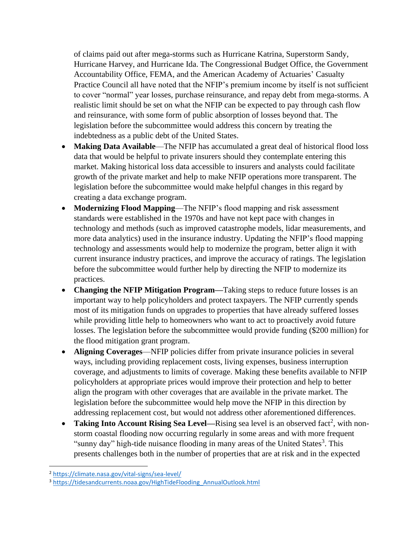of claims paid out after mega-storms such as Hurricane Katrina, Superstorm Sandy, Hurricane Harvey, and Hurricane Ida. The Congressional Budget Office, the Government Accountability Office, FEMA, and the American Academy of Actuaries' Casualty Practice Council all have noted that the NFIP's premium income by itself is not sufficient to cover "normal" year losses, purchase reinsurance, and repay debt from mega-storms. A realistic limit should be set on what the NFIP can be expected to pay through cash flow and reinsurance, with some form of public absorption of losses beyond that. The legislation before the subcommittee would address this concern by treating the indebtedness as a public debt of the United States.

- **Making Data Available**—The NFIP has accumulated a great deal of historical flood loss data that would be helpful to private insurers should they contemplate entering this market. Making historical loss data accessible to insurers and analysts could facilitate growth of the private market and help to make NFIP operations more transparent. The legislation before the subcommittee would make helpful changes in this regard by creating a data exchange program.
- **Modernizing Flood Mapping**—The NFIP's flood mapping and risk assessment standards were established in the 1970s and have not kept pace with changes in technology and methods (such as improved catastrophe models, lidar measurements, and more data analytics) used in the insurance industry. Updating the NFIP's flood mapping technology and assessments would help to modernize the program, better align it with current insurance industry practices, and improve the accuracy of ratings. The legislation before the subcommittee would further help by directing the NFIP to modernize its practices.
- **Changing the NFIP Mitigation Program—**Taking steps to reduce future losses is an important way to help policyholders and protect taxpayers. The NFIP currently spends most of its mitigation funds on upgrades to properties that have already suffered losses while providing little help to homeowners who want to act to proactively avoid future losses. The legislation before the subcommittee would provide funding (\$200 million) for the flood mitigation grant program.
- **Aligning Coverages**—NFIP policies differ from private insurance policies in several ways, including providing replacement costs, living expenses, business interruption coverage, and adjustments to limits of coverage. Making these benefits available to NFIP policyholders at appropriate prices would improve their protection and help to better align the program with other coverages that are available in the private market. The legislation before the subcommittee would help move the NFIP in this direction by addressing replacement cost, but would not address other aforementioned differences.
- Taking Into Account Rising Sea Level—Rising sea level is an observed fact<sup>2</sup>, with nonstorm coastal flooding now occurring regularly in some areas and with more frequent "sunny day" high-tide nuisance flooding in many areas of the United States<sup>3</sup>. This presents challenges both in the number of properties that are at risk and in the expected

<sup>2</sup> <https://climate.nasa.gov/vital-signs/sea-level/>

<sup>3</sup> [https://tidesandcurrents.noaa.gov/HighTideFlooding\\_AnnualOutlook.html](https://tidesandcurrents.noaa.gov/HighTideFlooding_AnnualOutlook.html)